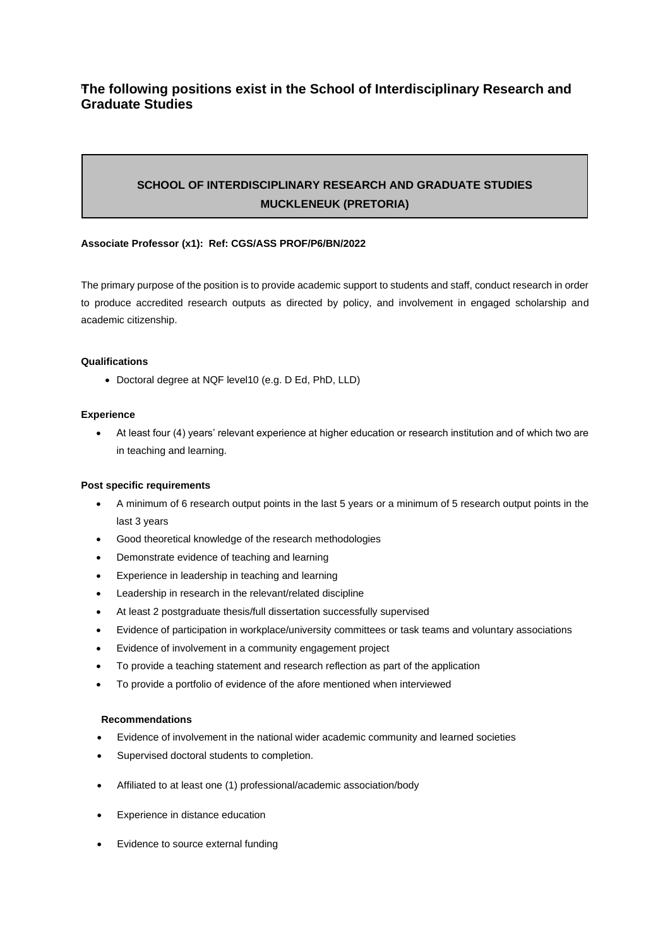# **The following positions exist in the School of Interdisciplinary Research and Graduate Studies**

# **SCHOOL OF INTERDISCIPLINARY RESEARCH AND GRADUATE STUDIES MUCKLENEUK (PRETORIA)**

## **Associate Professor (x1): Ref: CGS/ASS PROF/P6/BN/2022**

The primary purpose of the position is to provide academic support to students and staff, conduct research in order to produce accredited research outputs as directed by policy, and involvement in engaged scholarship and academic citizenship.

### **Qualifications**

• Doctoral degree at NQF level10 (e.g. D Ed, PhD, LLD)

#### **Experience**

• At least four (4) years' relevant experience at higher education or research institution and of which two are in teaching and learning.

#### **Post specific requirements**

- A minimum of 6 research output points in the last 5 years or a minimum of 5 research output points in the last 3 years
- Good theoretical knowledge of the research methodologies
- Demonstrate evidence of teaching and learning
- Experience in leadership in teaching and learning
- Leadership in research in the relevant/related discipline
- At least 2 postgraduate thesis/full dissertation successfully supervised
- Evidence of participation in workplace/university committees or task teams and voluntary associations
- Evidence of involvement in a community engagement project
- To provide a teaching statement and research reflection as part of the application
- To provide a portfolio of evidence of the afore mentioned when interviewed

### **Recommendations**

- Evidence of involvement in the national wider academic community and learned societies
- Supervised doctoral students to completion.
- Affiliated to at least one (1) professional/academic association/body
- Experience in distance education
- Evidence to source external funding